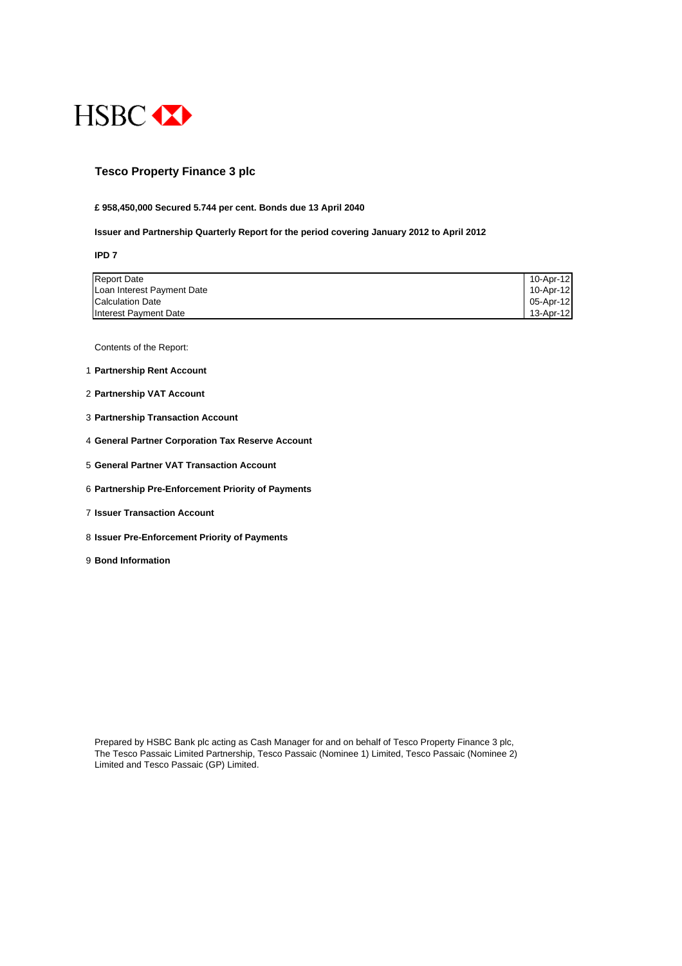

## **Tesco Property Finance 3 plc**

#### **£ 958,450,000 Secured 5.744 per cent. Bonds due 13 April 2040**

#### **Issuer and Partnership Quarterly Report for the period covering January 2012 to April 2012**

**IPD 7**

| <b>Report Date</b>         | 10-Apr-12 |
|----------------------------|-----------|
| Loan Interest Payment Date | 10-Apr-12 |
| <b>Calculation Date</b>    | 05-Apr-12 |
| Interest Payment Date      | 13-Apr-12 |

Contents of the Report:

- 1 **Partnership Rent Account**
- 2 **Partnership VAT Account**
- 3 **Partnership Transaction Account**
- 4 **General Partner Corporation Tax Reserve Account**
- 5 **General Partner VAT Transaction Account**
- 6 **Partnership Pre-Enforcement Priority of Payments**
- 7 **Issuer Transaction Account**
- 8 **Issuer Pre-Enforcement Priority of Payments**
- 9 **Bond Information**

Prepared by HSBC Bank plc acting as Cash Manager for and on behalf of Tesco Property Finance 3 plc, The Tesco Passaic Limited Partnership, Tesco Passaic (Nominee 1) Limited, Tesco Passaic (Nominee 2) Limited and Tesco Passaic (GP) Limited.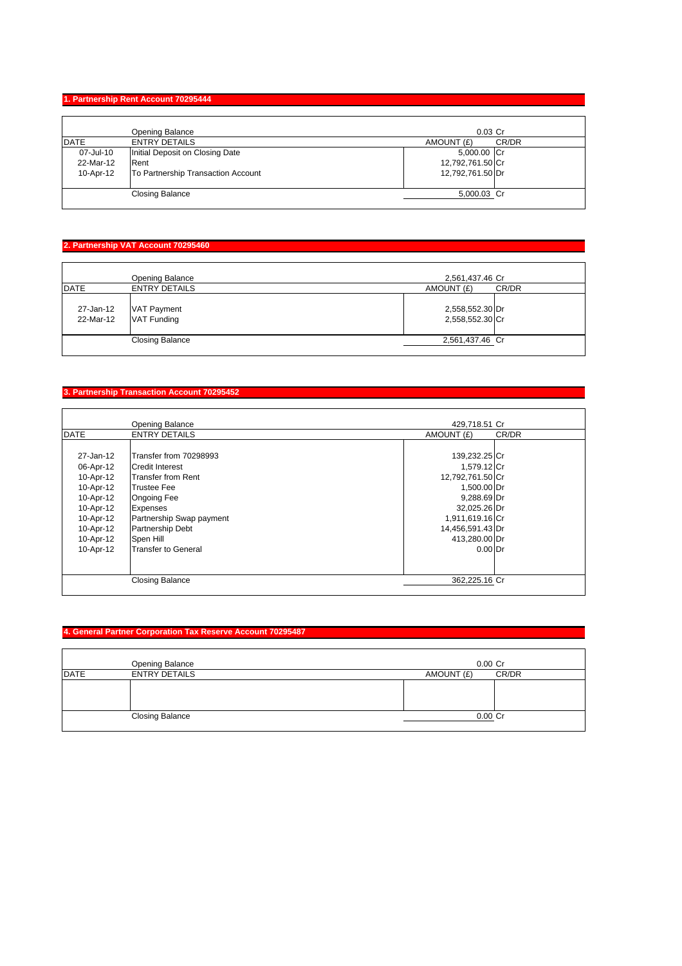#### **1. Partnership Rent Account 70295444**

|             | Opening Balance                    | $0.03$ Cr        |       |
|-------------|------------------------------------|------------------|-------|
| <b>DATE</b> | <b>ENTRY DETAILS</b>               | AMOUNT (£)       | CR/DR |
| 07-Jul-10   | Initial Deposit on Closing Date    | 5,000.00 Cr      |       |
| 22-Mar-12   | Rent                               | 12,792,761.50 Cr |       |
| 10-Apr-12   | To Partnership Transaction Account | 12,792,761.50 Dr |       |
|             | <b>Closing Balance</b>             | 5,000.03 Cr      |       |

## **2. Partnership VAT Account 70295460**

| <b>DATE</b>            | Opening Balance<br><b>ENTRY DETAILS</b>  | 2,561,437.46 Cr<br>AMOUNT (£)      | CR/DR |
|------------------------|------------------------------------------|------------------------------------|-------|
| 27-Jan-12<br>22-Mar-12 | <b>VAT Payment</b><br><b>VAT Funding</b> | 2,558,552.30 Dr<br>2,558,552.30 Cr |       |
|                        | <b>Closing Balance</b>                   | 2,561,437.46 Cr                    |       |

## **3. Partnership Transaction Account 70295452**

|             | <b>Opening Balance</b>     | 429,718.51 Cr    |       |
|-------------|----------------------------|------------------|-------|
| <b>DATE</b> | <b>ENTRY DETAILS</b>       | AMOUNT (£)       | CR/DR |
|             |                            |                  |       |
| 27-Jan-12   | Transfer from 70298993     | 139,232.25 Cr    |       |
| 06-Apr-12   | Credit Interest            | 1,579.12 Cr      |       |
| 10-Apr-12   | <b>Transfer from Rent</b>  | 12,792,761.50 Cr |       |
| 10-Apr-12   | <b>Trustee Fee</b>         | 1,500.00 Dr      |       |
| 10-Apr-12   | <b>Ongoing Fee</b>         | 9,288.69 Dr      |       |
| 10-Apr-12   | <b>Expenses</b>            | 32,025.26 Dr     |       |
| 10-Apr-12   | Partnership Swap payment   | 1,911,619.16 Cr  |       |
| 10-Apr-12   | <b>Partnership Debt</b>    | 14,456,591.43 Dr |       |
| 10-Apr-12   | Spen Hill                  | 413,280.00 Dr    |       |
| 10-Apr-12   | <b>Transfer to General</b> | $0.00$ Dr        |       |
|             |                            |                  |       |
|             | <b>Closing Balance</b>     | 362,225.16 Cr    |       |

## **4. General Partner Corporation Tax Reserve Account 70295487**

|             | Opening Balance        | $0.00$ Cr  |       |
|-------------|------------------------|------------|-------|
| <b>DATE</b> | <b>ENTRY DETAILS</b>   | AMOUNT (£) | CR/DR |
|             |                        |            |       |
|             | <b>Closing Balance</b> | $0.00$ Cr  |       |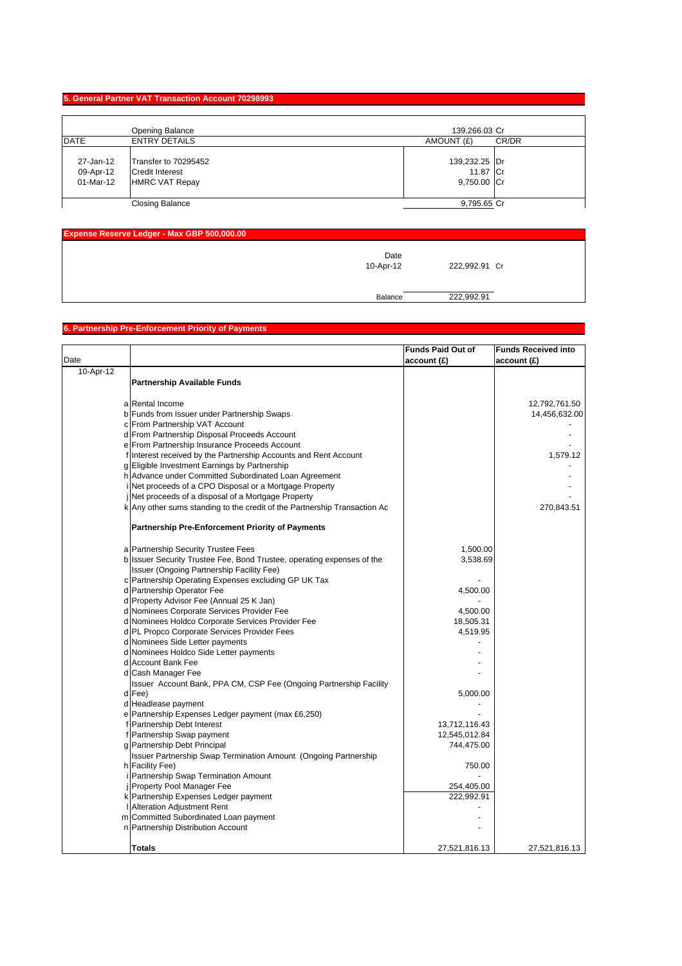#### **5. General Partner VAT Transaction Account 70298993**

|                                     | Opening Balance                                                         | 139,266.03 Cr                            |
|-------------------------------------|-------------------------------------------------------------------------|------------------------------------------|
| <b>DATE</b>                         | <b>ENTRY DETAILS</b>                                                    | AMOUNT (£)<br>CR/DR                      |
| 27-Jan-12<br>09-Apr-12<br>01-Mar-12 | Transfer to 70295452<br><b>Credit Interest</b><br><b>HMRC VAT Repay</b> | 139,232.25 Dr<br>11.87 Cr<br>9,750.00 Cr |
|                                     | Closing Balance                                                         | 9,795.65 Cr                              |

| Expense Reserve Ledger - Max GBP 500,000.00 |                   |               |  |
|---------------------------------------------|-------------------|---------------|--|
|                                             | Date<br>10-Apr-12 | 222,992.91 Cr |  |
|                                             | Balance           | 222,992.91    |  |

# **6. Partnership Pre-Enforcement Priority of Payments**

|           |                                                                           | <b>Funds Paid Out of</b> | <b>Funds Received into</b> |
|-----------|---------------------------------------------------------------------------|--------------------------|----------------------------|
| Date      |                                                                           | account (£)              | account(E)                 |
| 10-Apr-12 |                                                                           |                          |                            |
|           | <b>Partnership Available Funds</b>                                        |                          |                            |
|           |                                                                           |                          |                            |
|           | a Rental Income                                                           |                          | 12,792,761.50              |
|           | b Funds from Issuer under Partnership Swaps                               |                          | 14,456,632.00              |
|           | c From Partnership VAT Account                                            |                          |                            |
|           | d From Partnership Disposal Proceeds Account                              |                          |                            |
|           | e From Partnership Insurance Proceeds Account                             |                          |                            |
|           | f Interest received by the Partnership Accounts and Rent Account          |                          | 1,579.12                   |
|           | g Eligible Investment Earnings by Partnership                             |                          |                            |
|           | h Advance under Committed Subordinated Loan Agreement                     |                          |                            |
|           | Net proceeds of a CPO Disposal or a Mortgage Property                     |                          |                            |
|           | Net proceeds of a disposal of a Mortgage Property                         |                          |                            |
|           | k Any other sums standing to the credit of the Partnership Transaction Ac |                          | 270,843.51                 |
|           |                                                                           |                          |                            |
|           | <b>Partnership Pre-Enforcement Priority of Payments</b>                   |                          |                            |
|           | a Partnership Security Trustee Fees                                       | 1,500.00                 |                            |
|           | b Issuer Security Trustee Fee, Bond Trustee, operating expenses of the    | 3,538.69                 |                            |
|           | Issuer (Ongoing Partnership Facility Fee)                                 |                          |                            |
|           | c Partnership Operating Expenses excluding GP UK Tax                      |                          |                            |
|           | d Partnership Operator Fee                                                | 4,500.00                 |                            |
|           | d Property Advisor Fee (Annual 25 K Jan)                                  |                          |                            |
|           | d Nominees Corporate Services Provider Fee                                | 4,500.00                 |                            |
|           | d Nominees Holdco Corporate Services Provider Fee                         | 18,505.31                |                            |
|           | d PL Propco Corporate Services Provider Fees                              | 4,519.95                 |                            |
|           | d Nominees Side Letter payments                                           |                          |                            |
|           | d Nominees Holdco Side Letter payments                                    |                          |                            |
|           | d Account Bank Fee                                                        |                          |                            |
|           | d Cash Manager Fee                                                        |                          |                            |
|           | Issuer Account Bank, PPA CM, CSP Fee (Ongoing Partnership Facility        |                          |                            |
|           | d Fee)                                                                    | 5,000.00                 |                            |
|           | d Headlease payment                                                       |                          |                            |
|           | e Partnership Expenses Ledger payment (max £6,250)                        |                          |                            |
|           | f Partnership Debt Interest                                               | 13,712,116.43            |                            |
|           | f Partnership Swap payment                                                | 12,545,012.84            |                            |
|           | g Partnership Debt Principal                                              | 744,475.00               |                            |
|           | <b>Issuer Partnership Swap Termination Amount (Ongoing Partnership</b>    |                          |                            |
|           | h Facility Fee)                                                           | 750.00                   |                            |
|           | Partnership Swap Termination Amount                                       |                          |                            |
|           | Property Pool Manager Fee                                                 | 254,405.00               |                            |
|           | k Partnership Expenses Ledger payment                                     | 222,992.91               |                            |
|           | <b>Alteration Adjustment Rent</b>                                         |                          |                            |
|           | m Committed Subordinated Loan payment                                     |                          |                            |
|           | n Partnership Distribution Account                                        |                          |                            |
|           |                                                                           |                          |                            |
|           | <b>Totals</b>                                                             | 27,521,816.13            | 27,521,816.13              |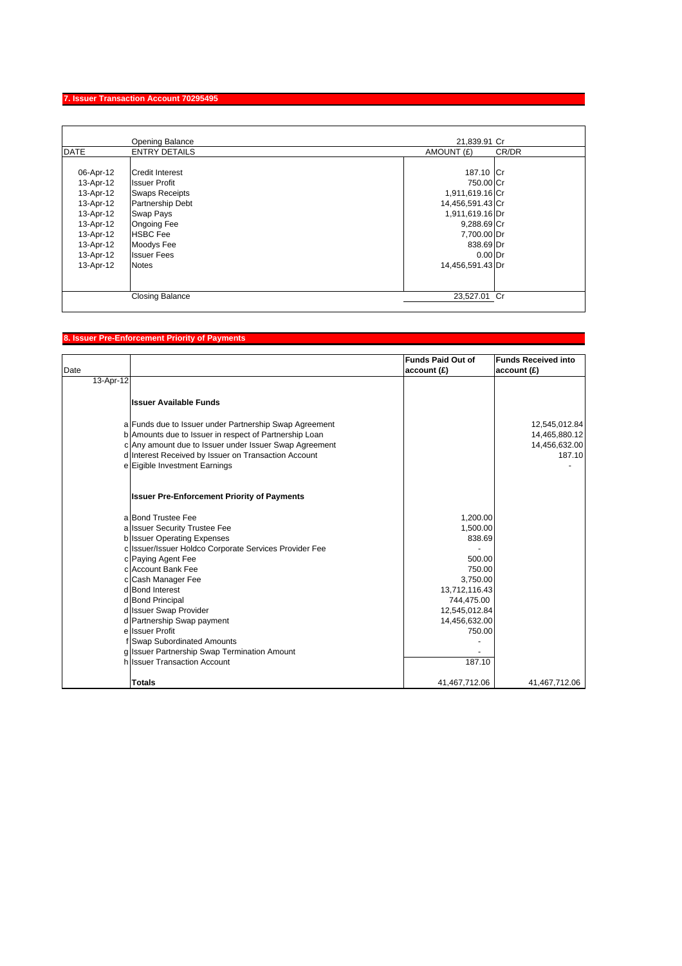## **7. Issuer Transaction Account 70295495**

| <b>DATE</b> |                         |                  | 21,839.91 Cr |
|-------------|-------------------------|------------------|--------------|
|             | <b>ENTRY DETAILS</b>    | AMOUNT (£)       | CR/DR        |
|             |                         |                  |              |
| 06-Apr-12   | <b>Credit Interest</b>  | 187.10 Cr        |              |
| 13-Apr-12   | <b>Issuer Profit</b>    | 750.00 Cr        |              |
| 13-Apr-12   | <b>Swaps Receipts</b>   | 1,911,619.16 Cr  |              |
| 13-Apr-12   | <b>Partnership Debt</b> | 14,456,591.43 Cr |              |
| 13-Apr-12   | Swap Pays               | 1,911,619.16 Dr  |              |
| 13-Apr-12   | <b>Ongoing Fee</b>      | 9,288.69 Cr      |              |
| 13-Apr-12   | <b>HSBC</b> Fee         | 7,700.00 Dr      |              |
| 13-Apr-12   | Moodys Fee              | 838.69 Dr        |              |
| 13-Apr-12   | <b>Issuer Fees</b>      | $0.00$ Dr        |              |
| 13-Apr-12   | <b>Notes</b>            | 14,456,591.43 Dr |              |
|             |                         |                  |              |
|             | <b>Closing Balance</b>  | 23,527.01 Cr     |              |

## **8. Issuer Pre-Enforcement Priority of Payments**

|           |                                                        | <b>Funds Paid Out of</b> | <b>Funds Received into</b> |
|-----------|--------------------------------------------------------|--------------------------|----------------------------|
| Date      |                                                        | account(E)               | account(E)                 |
| 13-Apr-12 |                                                        |                          |                            |
|           | <b>Issuer Available Funds</b>                          |                          |                            |
|           | a Funds due to Issuer under Partnership Swap Agreement |                          | 12,545,012.84              |
|           | b Amounts due to Issuer in respect of Partnership Loan |                          | 14,465,880.12              |
|           | c Any amount due to Issuer under Issuer Swap Agreement |                          | 14,456,632.00              |
|           | d Interest Received by Issuer on Transaction Account   |                          | 187.10                     |
|           | e Eigible Investment Earnings                          |                          |                            |
|           | <b>Issuer Pre-Enforcement Priority of Payments</b>     |                          |                            |
|           | a Bond Trustee Fee                                     | 1,200.00                 |                            |
|           | a Issuer Security Trustee Fee                          | 1,500.00                 |                            |
|           | <b>b</b> Issuer Operating Expenses                     | 838.69                   |                            |
|           | c Issuer/Issuer Holdco Corporate Services Provider Fee |                          |                            |
|           | c Paying Agent Fee                                     | 500.00                   |                            |
|           | c Account Bank Fee                                     | 750.00                   |                            |
|           | c Cash Manager Fee                                     | 3,750.00                 |                            |
|           | d Bond Interest                                        | 13,712,116.43            |                            |
|           | d Bond Principal                                       | 744,475.00               |                            |
|           | d Issuer Swap Provider                                 | 12,545,012.84            |                            |
|           | d Partnership Swap payment                             | 14,456,632.00            |                            |
|           | e Issuer Profit                                        | 750.00                   |                            |
|           | <b>Swap Subordinated Amounts</b>                       |                          |                            |
|           | g Issuer Partnership Swap Termination Amount           |                          |                            |
|           | h Issuer Transaction Account                           | 187.10                   |                            |
|           | <b>Totals</b>                                          | 41,467,712.06            | 41,467,712.06              |